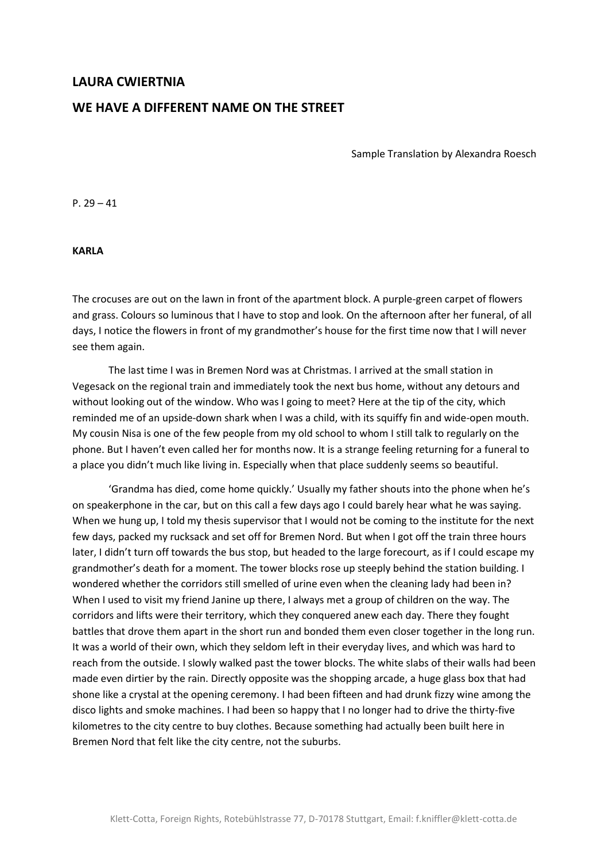## **LAURA CWIERTNIA**

## **WE HAVE A DIFFERENT NAME ON THE STREET**

Sample Translation by Alexandra Roesch

P.  $29 - 41$ 

**KARLA**

The crocuses are out on the lawn in front of the apartment block. A purple-green carpet of flowers and grass. Colours so luminous that I have to stop and look. On the afternoon after her funeral, of all days, I notice the flowers in front of my grandmother's house for the first time now that I will never see them again.

The last time I was in Bremen Nord was at Christmas. I arrived at the small station in Vegesack on the regional train and immediately took the next bus home, without any detours and without looking out of the window. Who was I going to meet? Here at the tip of the city, which reminded me of an upside-down shark when I was a child, with its squiffy fin and wide-open mouth. My cousin Nisa is one of the few people from my old school to whom I still talk to regularly on the phone. But I haven't even called her for months now. It is a strange feeling returning for a funeral to a place you didn't much like living in. Especially when that place suddenly seems so beautiful.

'Grandma has died, come home quickly.' Usually my father shouts into the phone when he's on speakerphone in the car, but on this call a few days ago I could barely hear what he was saying. When we hung up, I told my thesis supervisor that I would not be coming to the institute for the next few days, packed my rucksack and set off for Bremen Nord. But when I got off the train three hours later, I didn't turn off towards the bus stop, but headed to the large forecourt, as if I could escape my grandmother's death for a moment. The tower blocks rose up steeply behind the station building. I wondered whether the corridors still smelled of urine even when the cleaning lady had been in? When I used to visit my friend Janine up there, I always met a group of children on the way. The corridors and lifts were their territory, which they conquered anew each day. There they fought battles that drove them apart in the short run and bonded them even closer together in the long run. It was a world of their own, which they seldom left in their everyday lives, and which was hard to reach from the outside. I slowly walked past the tower blocks. The white slabs of their walls had been made even dirtier by the rain. Directly opposite was the shopping arcade, a huge glass box that had shone like a crystal at the opening ceremony. I had been fifteen and had drunk fizzy wine among the disco lights and smoke machines. I had been so happy that I no longer had to drive the thirty-five kilometres to the city centre to buy clothes. Because something had actually been built here in Bremen Nord that felt like the city centre, not the suburbs.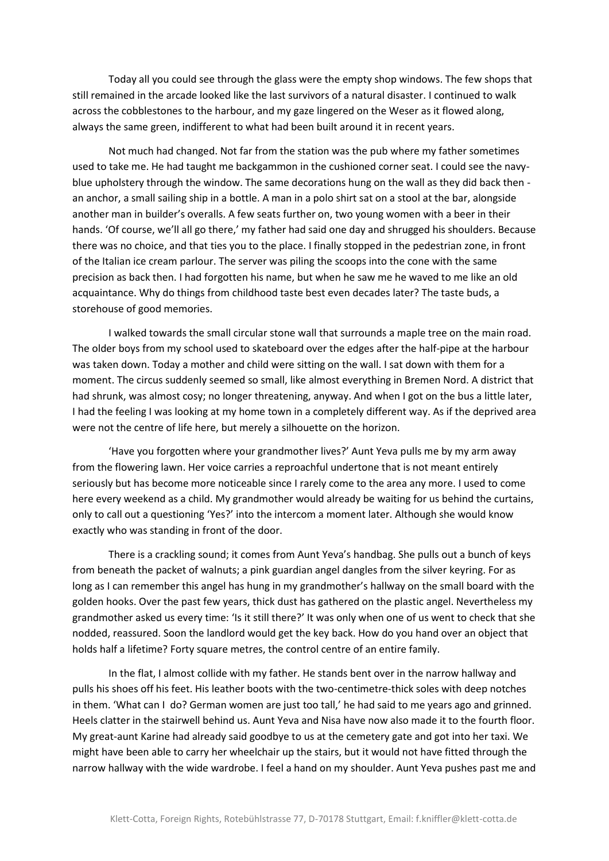Today all you could see through the glass were the empty shop windows. The few shops that still remained in the arcade looked like the last survivors of a natural disaster. I continued to walk across the cobblestones to the harbour, and my gaze lingered on the Weser as it flowed along, always the same green, indifferent to what had been built around it in recent years.

Not much had changed. Not far from the station was the pub where my father sometimes used to take me. He had taught me backgammon in the cushioned corner seat. I could see the navyblue upholstery through the window. The same decorations hung on the wall as they did back then an anchor, a small sailing ship in a bottle. A man in a polo shirt sat on a stool at the bar, alongside another man in builder's overalls. A few seats further on, two young women with a beer in their hands. 'Of course, we'll all go there,' my father had said one day and shrugged his shoulders. Because there was no choice, and that ties you to the place. I finally stopped in the pedestrian zone, in front of the Italian ice cream parlour. The server was piling the scoops into the cone with the same precision as back then. I had forgotten his name, but when he saw me he waved to me like an old acquaintance. Why do things from childhood taste best even decades later? The taste buds, a storehouse of good memories.

I walked towards the small circular stone wall that surrounds a maple tree on the main road. The older boys from my school used to skateboard over the edges after the half-pipe at the harbour was taken down. Today a mother and child were sitting on the wall. I sat down with them for a moment. The circus suddenly seemed so small, like almost everything in Bremen Nord. A district that had shrunk, was almost cosy; no longer threatening, anyway. And when I got on the bus a little later, I had the feeling I was looking at my home town in a completely different way. As if the deprived area were not the centre of life here, but merely a silhouette on the horizon.

'Have you forgotten where your grandmother lives?' Aunt Yeva pulls me by my arm away from the flowering lawn. Her voice carries a reproachful undertone that is not meant entirely seriously but has become more noticeable since I rarely come to the area any more. I used to come here every weekend as a child. My grandmother would already be waiting for us behind the curtains, only to call out a questioning 'Yes?' into the intercom a moment later. Although she would know exactly who was standing in front of the door.

There is a crackling sound; it comes from Aunt Yeva's handbag. She pulls out a bunch of keys from beneath the packet of walnuts; a pink guardian angel dangles from the silver keyring. For as long as I can remember this angel has hung in my grandmother's hallway on the small board with the golden hooks. Over the past few years, thick dust has gathered on the plastic angel. Nevertheless my grandmother asked us every time: 'Is it still there?' It was only when one of us went to check that she nodded, reassured. Soon the landlord would get the key back. How do you hand over an object that holds half a lifetime? Forty square metres, the control centre of an entire family.

In the flat, I almost collide with my father. He stands bent over in the narrow hallway and pulls his shoes off his feet. His leather boots with the two-centimetre-thick soles with deep notches in them. 'What can I do? German women are just too tall,' he had said to me years ago and grinned. Heels clatter in the stairwell behind us. Aunt Yeva and Nisa have now also made it to the fourth floor. My great-aunt Karine had already said goodbye to us at the cemetery gate and got into her taxi. We might have been able to carry her wheelchair up the stairs, but it would not have fitted through the narrow hallway with the wide wardrobe. I feel a hand on my shoulder. Aunt Yeva pushes past me and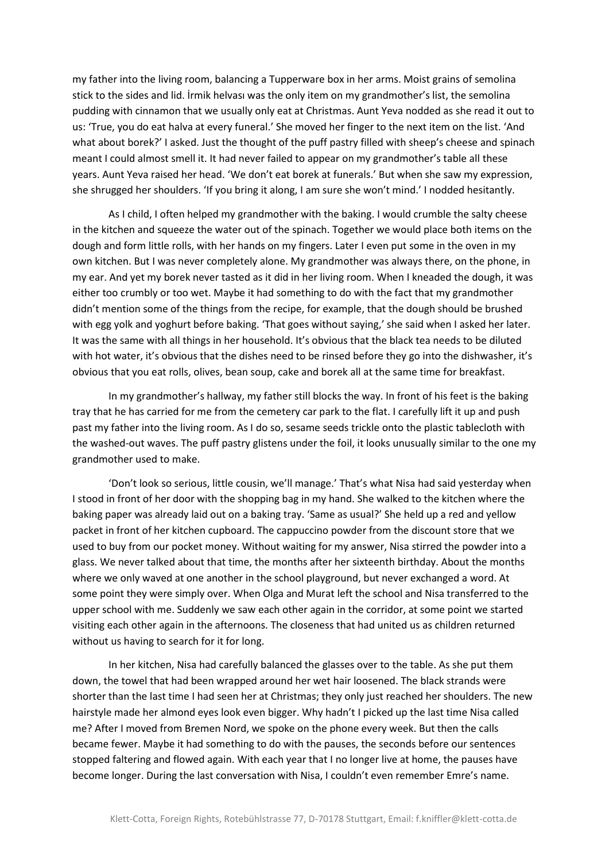my father into the living room, balancing a Tupperware box in her arms. Moist grains of semolina stick to the sides and lid. İrmik helvası was the only item on my grandmother's list, the semolina pudding with cinnamon that we usually only eat at Christmas. Aunt Yeva nodded as she read it out to us: 'True, you do eat halva at every funeral.' She moved her finger to the next item on the list. 'And what about borek?' I asked. Just the thought of the puff pastry filled with sheep's cheese and spinach meant I could almost smell it. It had never failed to appear on my grandmother's table all these years. Aunt Yeva raised her head. 'We don't eat borek at funerals.' But when she saw my expression, she shrugged her shoulders. 'If you bring it along, I am sure she won't mind.' I nodded hesitantly.

As I child, I often helped my grandmother with the baking. I would crumble the salty cheese in the kitchen and squeeze the water out of the spinach. Together we would place both items on the dough and form little rolls, with her hands on my fingers. Later I even put some in the oven in my own kitchen. But I was never completely alone. My grandmother was always there, on the phone, in my ear. And yet my borek never tasted as it did in her living room. When I kneaded the dough, it was either too crumbly or too wet. Maybe it had something to do with the fact that my grandmother didn't mention some of the things from the recipe, for example, that the dough should be brushed with egg yolk and yoghurt before baking. 'That goes without saying,' she said when I asked her later. It was the same with all things in her household. It's obvious that the black tea needs to be diluted with hot water, it's obvious that the dishes need to be rinsed before they go into the dishwasher, it's obvious that you eat rolls, olives, bean soup, cake and borek all at the same time for breakfast.

In my grandmother's hallway, my father still blocks the way. In front of his feet is the baking tray that he has carried for me from the cemetery car park to the flat. I carefully lift it up and push past my father into the living room. As I do so, sesame seeds trickle onto the plastic tablecloth with the washed-out waves. The puff pastry glistens under the foil, it looks unusually similar to the one my grandmother used to make.

'Don't look so serious, little cousin, we'll manage.' That's what Nisa had said yesterday when I stood in front of her door with the shopping bag in my hand. She walked to the kitchen where the baking paper was already laid out on a baking tray. 'Same as usual?' She held up a red and yellow packet in front of her kitchen cupboard. The cappuccino powder from the discount store that we used to buy from our pocket money. Without waiting for my answer, Nisa stirred the powder into a glass. We never talked about that time, the months after her sixteenth birthday. About the months where we only waved at one another in the school playground, but never exchanged a word. At some point they were simply over. When Olga and Murat left the school and Nisa transferred to the upper school with me. Suddenly we saw each other again in the corridor, at some point we started visiting each other again in the afternoons. The closeness that had united us as children returned without us having to search for it for long.

In her kitchen, Nisa had carefully balanced the glasses over to the table. As she put them down, the towel that had been wrapped around her wet hair loosened. The black strands were shorter than the last time I had seen her at Christmas; they only just reached her shoulders. The new hairstyle made her almond eyes look even bigger. Why hadn't I picked up the last time Nisa called me? After I moved from Bremen Nord, we spoke on the phone every week. But then the calls became fewer. Maybe it had something to do with the pauses, the seconds before our sentences stopped faltering and flowed again. With each year that I no longer live at home, the pauses have become longer. During the last conversation with Nisa, I couldn't even remember Emre's name.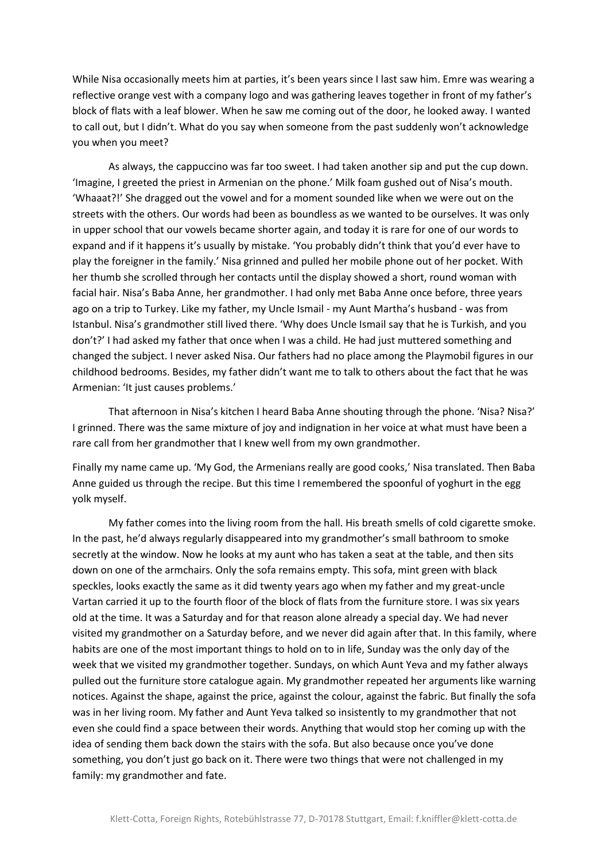While Nisa occasionally meets him at parties, it's been years since I last saw him. Emre was wearing a reflective orange vest with a company logo and was gathering leaves together in front of my father's block of flats with a leaf blower. When he saw me coming out of the door, he looked away. I wanted to call out, but I didn't. What do you say when someone from the past suddenly won't acknowledge you when you meet?

As always, the cappuccino was far too sweet. I had taken another sip and put the cup down. 'Imagine, I greeted the priest in Armenian on the phone.' Milk foam gushed out of Nisa's mouth. 'Whaaat?!' She dragged out the vowel and for a moment sounded like when we were out on the streets with the others. Our words had been as boundless as we wanted to be ourselves. It was only in upper school that our vowels became shorter again, and today it is rare for one of our words to expand and if it happens it's usually by mistake. 'You probably didn't think that you'd ever have to play the foreigner in the family.' Nisa grinned and pulled her mobile phone out of her pocket. With her thumb she scrolled through her contacts until the display showed a short, round woman with facial hair. Nisa's Baba Anne, her grandmother. I had only met Baba Anne once before, three years ago on a trip to Turkey. Like my father, my Uncle Ismail - my Aunt Martha's husband - was from Istanbul. Nisa's grandmother still lived there. 'Why does Uncle Ismail say that he is Turkish, and you don't?' I had asked my father that once when I was a child. He had just muttered something and changed the subject. I never asked Nisa. Our fathers had no place among the Playmobil figures in our childhood bedrooms. Besides, my father didn't want me to talk to others about the fact that he was Armenian: 'It just causes problems.'

That afternoon in Nisa's kitchen I heard Baba Anne shouting through the phone. 'Nisa? Nisa?' I grinned. There was the same mixture of joy and indignation in her voice at what must have been a rare call from her grandmother that I knew well from my own grandmother.

Finally my name came up. 'My God, the Armenians really are good cooks,' Nisa translated. Then Baba Anne guided us through the recipe. But this time I remembered the spoonful of yoghurt in the egg yolk myself.

My father comes into the living room from the hall. His breath smells of cold cigarette smoke. In the past, he'd always regularly disappeared into my grandmother's small bathroom to smoke secretly at the window. Now he looks at my aunt who has taken a seat at the table, and then sits down on one of the armchairs. Only the sofa remains empty. This sofa, mint green with black speckles, looks exactly the same as it did twenty years ago when my father and my great-uncle Vartan carried it up to the fourth floor of the block of flats from the furniture store. I was six years old at the time. It was a Saturday and for that reason alone already a special day. We had never visited my grandmother on a Saturday before, and we never did again after that. In this family, where habits are one of the most important things to hold on to in life, Sunday was the only day of the week that we visited my grandmother together. Sundays, on which Aunt Yeva and my father always pulled out the furniture store catalogue again. My grandmother repeated her arguments like warning notices. Against the shape, against the price, against the colour, against the fabric. But finally the sofa was in her living room. My father and Aunt Yeva talked so insistently to my grandmother that not even she could find a space between their words. Anything that would stop her coming up with the idea of sending them back down the stairs with the sofa. But also because once you've done something, you don't just go back on it. There were two things that were not challenged in my family: my grandmother and fate.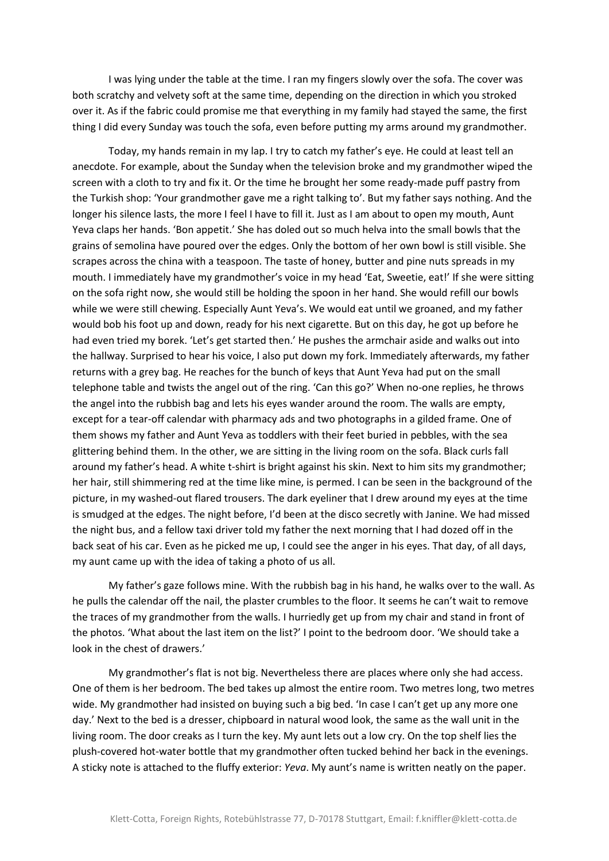I was lying under the table at the time. I ran my fingers slowly over the sofa. The cover was both scratchy and velvety soft at the same time, depending on the direction in which you stroked over it. As if the fabric could promise me that everything in my family had stayed the same, the first thing I did every Sunday was touch the sofa, even before putting my arms around my grandmother.

Today, my hands remain in my lap. I try to catch my father's eye. He could at least tell an anecdote. For example, about the Sunday when the television broke and my grandmother wiped the screen with a cloth to try and fix it. Or the time he brought her some ready-made puff pastry from the Turkish shop: 'Your grandmother gave me a right talking to'. But my father says nothing. And the longer his silence lasts, the more I feel I have to fill it. Just as I am about to open my mouth, Aunt Yeva claps her hands. 'Bon appetit.' She has doled out so much helva into the small bowls that the grains of semolina have poured over the edges. Only the bottom of her own bowl is still visible. She scrapes across the china with a teaspoon. The taste of honey, butter and pine nuts spreads in my mouth. I immediately have my grandmother's voice in my head 'Eat, Sweetie, eat!' If she were sitting on the sofa right now, she would still be holding the spoon in her hand. She would refill our bowls while we were still chewing. Especially Aunt Yeva's. We would eat until we groaned, and my father would bob his foot up and down, ready for his next cigarette. But on this day, he got up before he had even tried my borek. 'Let's get started then.' He pushes the armchair aside and walks out into the hallway. Surprised to hear his voice, I also put down my fork. Immediately afterwards, my father returns with a grey bag. He reaches for the bunch of keys that Aunt Yeva had put on the small telephone table and twists the angel out of the ring. 'Can this go?' When no-one replies, he throws the angel into the rubbish bag and lets his eyes wander around the room. The walls are empty, except for a tear-off calendar with pharmacy ads and two photographs in a gilded frame. One of them shows my father and Aunt Yeva as toddlers with their feet buried in pebbles, with the sea glittering behind them. In the other, we are sitting in the living room on the sofa. Black curls fall around my father's head. A white t-shirt is bright against his skin. Next to him sits my grandmother; her hair, still shimmering red at the time like mine, is permed. I can be seen in the background of the picture, in my washed-out flared trousers. The dark eyeliner that I drew around my eyes at the time is smudged at the edges. The night before, I'd been at the disco secretly with Janine. We had missed the night bus, and a fellow taxi driver told my father the next morning that I had dozed off in the back seat of his car. Even as he picked me up, I could see the anger in his eyes. That day, of all days, my aunt came up with the idea of taking a photo of us all.

My father's gaze follows mine. With the rubbish bag in his hand, he walks over to the wall. As he pulls the calendar off the nail, the plaster crumbles to the floor. It seems he can't wait to remove the traces of my grandmother from the walls. I hurriedly get up from my chair and stand in front of the photos. 'What about the last item on the list?' I point to the bedroom door. 'We should take a look in the chest of drawers.'

My grandmother's flat is not big. Nevertheless there are places where only she had access. One of them is her bedroom. The bed takes up almost the entire room. Two metres long, two metres wide. My grandmother had insisted on buying such a big bed. 'In case I can't get up any more one day.' Next to the bed is a dresser, chipboard in natural wood look, the same as the wall unit in the living room. The door creaks as I turn the key. My aunt lets out a low cry. On the top shelf lies the plush-covered hot-water bottle that my grandmother often tucked behind her back in the evenings. A sticky note is attached to the fluffy exterior: *Yeva*. My aunt's name is written neatly on the paper.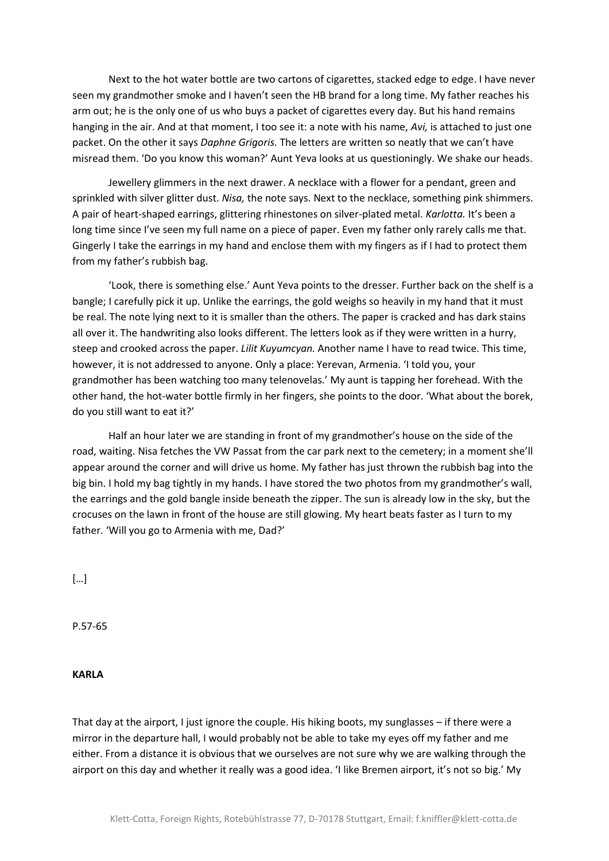Next to the hot water bottle are two cartons of cigarettes, stacked edge to edge. I have never seen my grandmother smoke and I haven't seen the HB brand for a long time. My father reaches his arm out; he is the only one of us who buys a packet of cigarettes every day. But his hand remains hanging in the air. And at that moment, I too see it: a note with his name, *Avi,* is attached to just one packet. On the other it says *Daphne Grigoris.* The letters are written so neatly that we can't have misread them. 'Do you know this woman?' Aunt Yeva looks at us questioningly. We shake our heads.

Jewellery glimmers in the next drawer. A necklace with a flower for a pendant, green and sprinkled with silver glitter dust. *Nisa,* the note says. Next to the necklace, something pink shimmers. A pair of heart-shaped earrings, glittering rhinestones on silver-plated metal. *Karlotta.* It's been a long time since I've seen my full name on a piece of paper. Even my father only rarely calls me that. Gingerly I take the earrings in my hand and enclose them with my fingers as if I had to protect them from my father's rubbish bag.

'Look, there is something else.' Aunt Yeva points to the dresser. Further back on the shelf is a bangle; I carefully pick it up. Unlike the earrings, the gold weighs so heavily in my hand that it must be real. The note lying next to it is smaller than the others. The paper is cracked and has dark stains all over it. The handwriting also looks different. The letters look as if they were written in a hurry, steep and crooked across the paper. *Lilit Kuyumcyan.* Another name I have to read twice. This time, however, it is not addressed to anyone. Only a place: Yerevan, Armenia. 'I told you, your grandmother has been watching too many telenovelas.' My aunt is tapping her forehead. With the other hand, the hot-water bottle firmly in her fingers, she points to the door. 'What about the borek, do you still want to eat it?'

Half an hour later we are standing in front of my grandmother's house on the side of the road, waiting. Nisa fetches the VW Passat from the car park next to the cemetery; in a moment she'll appear around the corner and will drive us home. My father has just thrown the rubbish bag into the big bin. I hold my bag tightly in my hands. I have stored the two photos from my grandmother's wall, the earrings and the gold bangle inside beneath the zipper. The sun is already low in the sky, but the crocuses on the lawn in front of the house are still glowing. My heart beats faster as I turn to my father. 'Will you go to Armenia with me, Dad?'

[…]

P.57-65

**KARLA**

That day at the airport, I just ignore the couple. His hiking boots, my sunglasses – if there were a mirror in the departure hall, I would probably not be able to take my eyes off my father and me either. From a distance it is obvious that we ourselves are not sure why we are walking through the airport on this day and whether it really was a good idea. 'I like Bremen airport, it's not so big.' My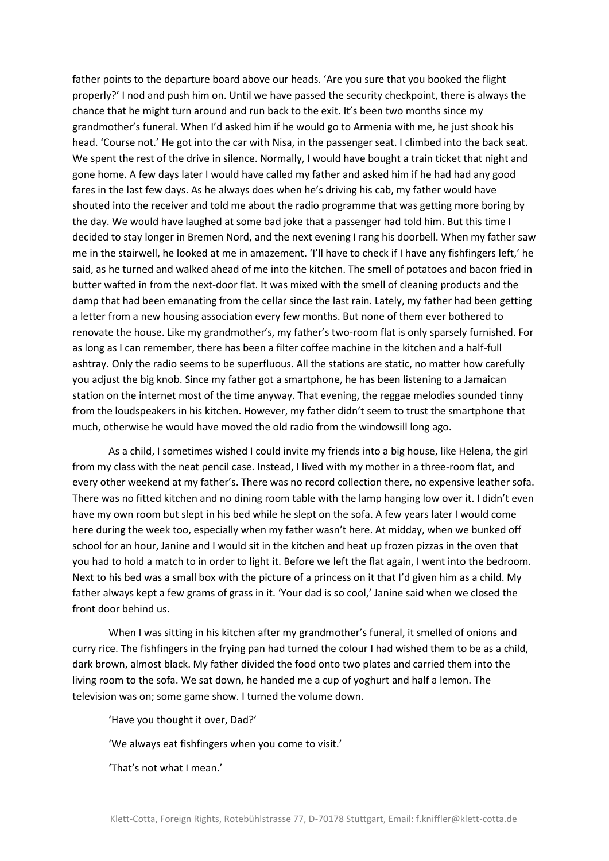father points to the departure board above our heads. 'Are you sure that you booked the flight properly?' I nod and push him on. Until we have passed the security checkpoint, there is always the chance that he might turn around and run back to the exit. It's been two months since my grandmother's funeral. When I'd asked him if he would go to Armenia with me, he just shook his head. 'Course not.' He got into the car with Nisa, in the passenger seat. I climbed into the back seat. We spent the rest of the drive in silence. Normally, I would have bought a train ticket that night and gone home. A few days later I would have called my father and asked him if he had had any good fares in the last few days. As he always does when he's driving his cab, my father would have shouted into the receiver and told me about the radio programme that was getting more boring by the day. We would have laughed at some bad joke that a passenger had told him. But this time I decided to stay longer in Bremen Nord, and the next evening I rang his doorbell. When my father saw me in the stairwell, he looked at me in amazement. 'I'll have to check if I have any fishfingers left,' he said, as he turned and walked ahead of me into the kitchen. The smell of potatoes and bacon fried in butter wafted in from the next-door flat. It was mixed with the smell of cleaning products and the damp that had been emanating from the cellar since the last rain. Lately, my father had been getting a letter from a new housing association every few months. But none of them ever bothered to renovate the house. Like my grandmother's, my father's two-room flat is only sparsely furnished. For as long as I can remember, there has been a filter coffee machine in the kitchen and a half-full ashtray. Only the radio seems to be superfluous. All the stations are static, no matter how carefully you adjust the big knob. Since my father got a smartphone, he has been listening to a Jamaican station on the internet most of the time anyway. That evening, the reggae melodies sounded tinny from the loudspeakers in his kitchen. However, my father didn't seem to trust the smartphone that much, otherwise he would have moved the old radio from the windowsill long ago.

As a child, I sometimes wished I could invite my friends into a big house, like Helena, the girl from my class with the neat pencil case. Instead, I lived with my mother in a three-room flat, and every other weekend at my father's. There was no record collection there, no expensive leather sofa. There was no fitted kitchen and no dining room table with the lamp hanging low over it. I didn't even have my own room but slept in his bed while he slept on the sofa. A few years later I would come here during the week too, especially when my father wasn't here. At midday, when we bunked off school for an hour, Janine and I would sit in the kitchen and heat up frozen pizzas in the oven that you had to hold a match to in order to light it. Before we left the flat again, I went into the bedroom. Next to his bed was a small box with the picture of a princess on it that I'd given him as a child. My father always kept a few grams of grass in it. 'Your dad is so cool,' Janine said when we closed the front door behind us.

When I was sitting in his kitchen after my grandmother's funeral, it smelled of onions and curry rice. The fishfingers in the frying pan had turned the colour I had wished them to be as a child, dark brown, almost black. My father divided the food onto two plates and carried them into the living room to the sofa. We sat down, he handed me a cup of yoghurt and half a lemon. The television was on; some game show. I turned the volume down.

'Have you thought it over, Dad?'

'We always eat fishfingers when you come to visit.'

'That's not what I mean.'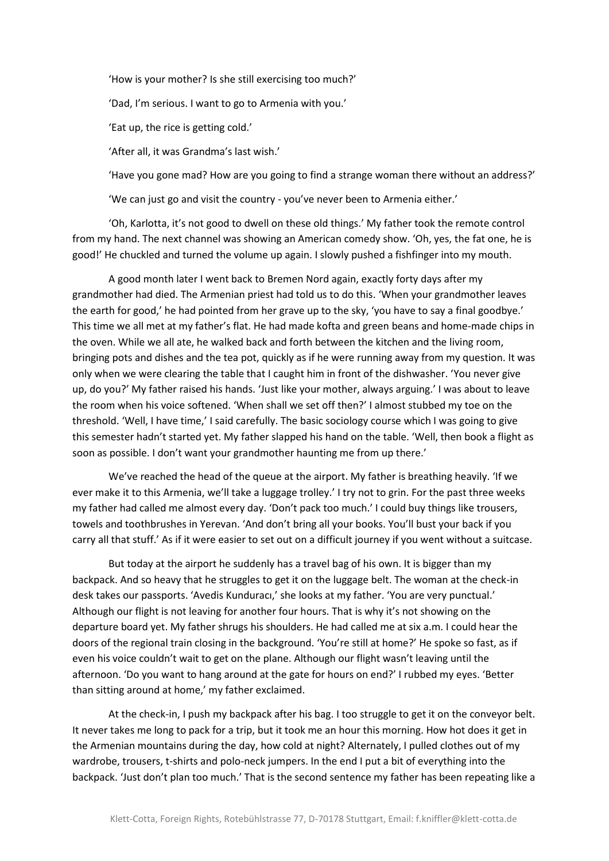'How is your mother? Is she still exercising too much?' 'Dad, I'm serious. I want to go to Armenia with you.' 'Eat up, the rice is getting cold.' 'After all, it was Grandma's last wish.'

'Have you gone mad? How are you going to find a strange woman there without an address?'

'We can just go and visit the country - you've never been to Armenia either.'

'Oh, Karlotta, it's not good to dwell on these old things.' My father took the remote control from my hand. The next channel was showing an American comedy show. 'Oh, yes, the fat one, he is good!' He chuckled and turned the volume up again. I slowly pushed a fishfinger into my mouth.

A good month later I went back to Bremen Nord again, exactly forty days after my grandmother had died. The Armenian priest had told us to do this. 'When your grandmother leaves the earth for good,' he had pointed from her grave up to the sky, 'you have to say a final goodbye.' This time we all met at my father's flat. He had made kofta and green beans and home-made chips in the oven. While we all ate, he walked back and forth between the kitchen and the living room, bringing pots and dishes and the tea pot, quickly as if he were running away from my question. It was only when we were clearing the table that I caught him in front of the dishwasher. 'You never give up, do you?' My father raised his hands. 'Just like your mother, always arguing.' I was about to leave the room when his voice softened. 'When shall we set off then?' I almost stubbed my toe on the threshold. 'Well, I have time,' I said carefully. The basic sociology course which I was going to give this semester hadn't started yet. My father slapped his hand on the table. 'Well, then book a flight as soon as possible. I don't want your grandmother haunting me from up there.'

We've reached the head of the queue at the airport. My father is breathing heavily. 'If we ever make it to this Armenia, we'll take a luggage trolley.' I try not to grin. For the past three weeks my father had called me almost every day. 'Don't pack too much.' I could buy things like trousers, towels and toothbrushes in Yerevan. 'And don't bring all your books. You'll bust your back if you carry all that stuff.' As if it were easier to set out on a difficult journey if you went without a suitcase.

But today at the airport he suddenly has a travel bag of his own. It is bigger than my backpack. And so heavy that he struggles to get it on the luggage belt. The woman at the check-in desk takes our passports. 'Avedis Kunduracı,' she looks at my father. 'You are very punctual.' Although our flight is not leaving for another four hours. That is why it's not showing on the departure board yet. My father shrugs his shoulders. He had called me at six a.m. I could hear the doors of the regional train closing in the background. 'You're still at home?' He spoke so fast, as if even his voice couldn't wait to get on the plane. Although our flight wasn't leaving until the afternoon. 'Do you want to hang around at the gate for hours on end?' I rubbed my eyes. 'Better than sitting around at home,' my father exclaimed.

At the check-in, I push my backpack after his bag. I too struggle to get it on the conveyor belt. It never takes me long to pack for a trip, but it took me an hour this morning. How hot does it get in the Armenian mountains during the day, how cold at night? Alternately, I pulled clothes out of my wardrobe, trousers, t-shirts and polo-neck jumpers. In the end I put a bit of everything into the backpack. 'Just don't plan too much.' That is the second sentence my father has been repeating like a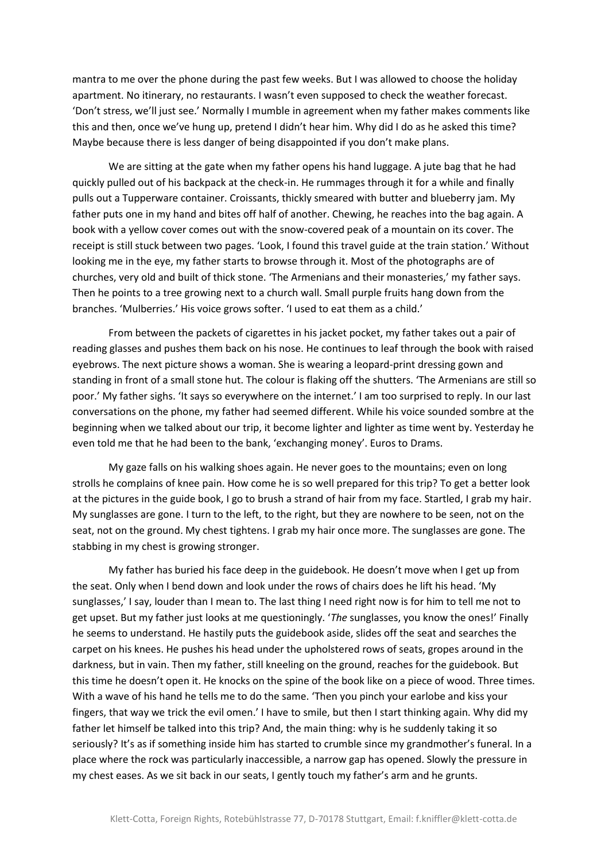mantra to me over the phone during the past few weeks. But I was allowed to choose the holiday apartment. No itinerary, no restaurants. I wasn't even supposed to check the weather forecast. 'Don't stress, we'll just see.' Normally I mumble in agreement when my father makes comments like this and then, once we've hung up, pretend I didn't hear him. Why did I do as he asked this time? Maybe because there is less danger of being disappointed if you don't make plans.

We are sitting at the gate when my father opens his hand luggage. A jute bag that he had quickly pulled out of his backpack at the check-in. He rummages through it for a while and finally pulls out a Tupperware container. Croissants, thickly smeared with butter and blueberry jam. My father puts one in my hand and bites off half of another. Chewing, he reaches into the bag again. A book with a yellow cover comes out with the snow-covered peak of a mountain on its cover. The receipt is still stuck between two pages. 'Look, I found this travel guide at the train station.' Without looking me in the eye, my father starts to browse through it. Most of the photographs are of churches, very old and built of thick stone. 'The Armenians and their monasteries,' my father says. Then he points to a tree growing next to a church wall. Small purple fruits hang down from the branches. 'Mulberries.' His voice grows softer. 'I used to eat them as a child.'

From between the packets of cigarettes in his jacket pocket, my father takes out a pair of reading glasses and pushes them back on his nose. He continues to leaf through the book with raised eyebrows. The next picture shows a woman. She is wearing a leopard-print dressing gown and standing in front of a small stone hut. The colour is flaking off the shutters. 'The Armenians are still so poor.' My father sighs. 'It says so everywhere on the internet.' I am too surprised to reply. In our last conversations on the phone, my father had seemed different. While his voice sounded sombre at the beginning when we talked about our trip, it become lighter and lighter as time went by. Yesterday he even told me that he had been to the bank, 'exchanging money'. Euros to Drams.

My gaze falls on his walking shoes again. He never goes to the mountains; even on long strolls he complains of knee pain. How come he is so well prepared for this trip? To get a better look at the pictures in the guide book, I go to brush a strand of hair from my face. Startled, I grab my hair. My sunglasses are gone. I turn to the left, to the right, but they are nowhere to be seen, not on the seat, not on the ground. My chest tightens. I grab my hair once more. The sunglasses are gone. The stabbing in my chest is growing stronger.

My father has buried his face deep in the guidebook. He doesn't move when I get up from the seat. Only when I bend down and look under the rows of chairs does he lift his head. 'My sunglasses,' I say, louder than I mean to. The last thing I need right now is for him to tell me not to get upset. But my father just looks at me questioningly. '*The* sunglasses, you know the ones!' Finally he seems to understand. He hastily puts the guidebook aside, slides off the seat and searches the carpet on his knees. He pushes his head under the upholstered rows of seats, gropes around in the darkness, but in vain. Then my father, still kneeling on the ground, reaches for the guidebook. But this time he doesn't open it. He knocks on the spine of the book like on a piece of wood. Three times. With a wave of his hand he tells me to do the same. 'Then you pinch your earlobe and kiss your fingers, that way we trick the evil omen.' I have to smile, but then I start thinking again. Why did my father let himself be talked into this trip? And, the main thing: why is he suddenly taking it so seriously? It's as if something inside him has started to crumble since my grandmother's funeral. In a place where the rock was particularly inaccessible, a narrow gap has opened. Slowly the pressure in my chest eases. As we sit back in our seats, I gently touch my father's arm and he grunts.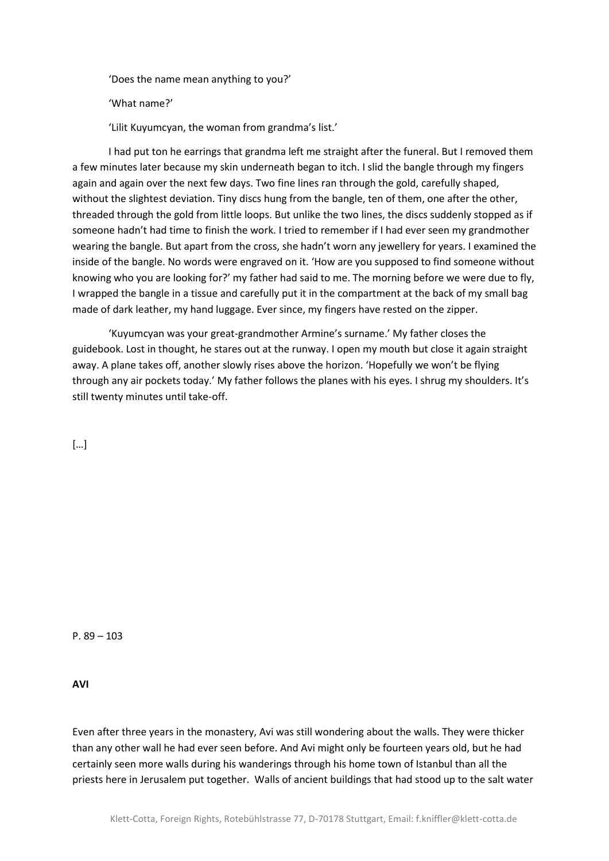'Does the name mean anything to you?'

'What name?'

'Lilit Kuyumcyan, the woman from grandma's list.'

I had put ton he earrings that grandma left me straight after the funeral. But I removed them a few minutes later because my skin underneath began to itch. I slid the bangle through my fingers again and again over the next few days. Two fine lines ran through the gold, carefully shaped, without the slightest deviation. Tiny discs hung from the bangle, ten of them, one after the other, threaded through the gold from little loops. But unlike the two lines, the discs suddenly stopped as if someone hadn't had time to finish the work. I tried to remember if I had ever seen my grandmother wearing the bangle. But apart from the cross, she hadn't worn any jewellery for years. I examined the inside of the bangle. No words were engraved on it. 'How are you supposed to find someone without knowing who you are looking for?' my father had said to me. The morning before we were due to fly, I wrapped the bangle in a tissue and carefully put it in the compartment at the back of my small bag made of dark leather, my hand luggage. Ever since, my fingers have rested on the zipper.

'Kuyumcyan was your great-grandmother Armine's surname.' My father closes the guidebook. Lost in thought, he stares out at the runway. I open my mouth but close it again straight away. A plane takes off, another slowly rises above the horizon. 'Hopefully we won't be flying through any air pockets today.' My father follows the planes with his eyes. I shrug my shoulders. It's still twenty minutes until take-off.

 $\lceil$ ...]

P. 89 – 103

**AVI**

Even after three years in the monastery, Avi was still wondering about the walls. They were thicker than any other wall he had ever seen before. And Avi might only be fourteen years old, but he had certainly seen more walls during his wanderings through his home town of Istanbul than all the priests here in Jerusalem put together. Walls of ancient buildings that had stood up to the salt water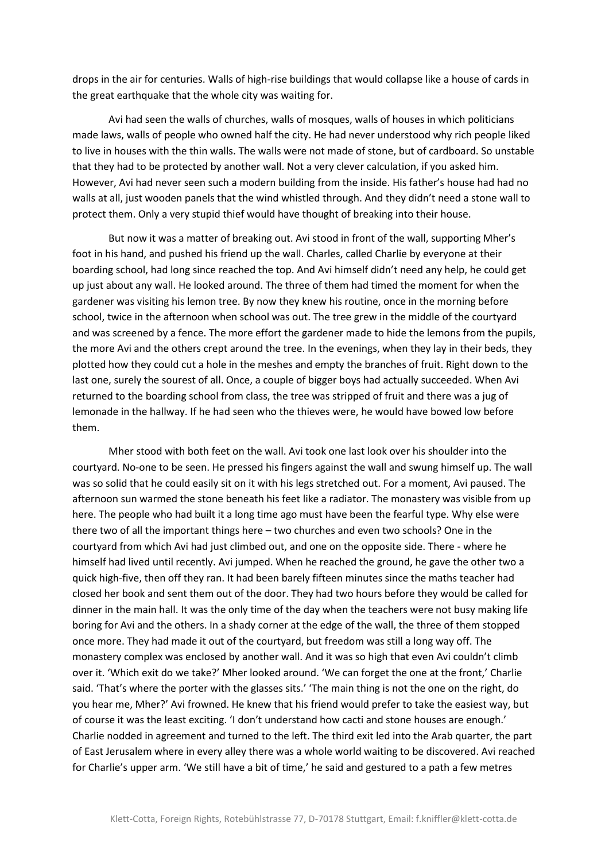drops in the air for centuries. Walls of high-rise buildings that would collapse like a house of cards in the great earthquake that the whole city was waiting for.

Avi had seen the walls of churches, walls of mosques, walls of houses in which politicians made laws, walls of people who owned half the city. He had never understood why rich people liked to live in houses with the thin walls. The walls were not made of stone, but of cardboard. So unstable that they had to be protected by another wall. Not a very clever calculation, if you asked him. However, Avi had never seen such a modern building from the inside. His father's house had had no walls at all, just wooden panels that the wind whistled through. And they didn't need a stone wall to protect them. Only a very stupid thief would have thought of breaking into their house.

But now it was a matter of breaking out. Avi stood in front of the wall, supporting Mher's foot in his hand, and pushed his friend up the wall. Charles, called Charlie by everyone at their boarding school, had long since reached the top. And Avi himself didn't need any help, he could get up just about any wall. He looked around. The three of them had timed the moment for when the gardener was visiting his lemon tree. By now they knew his routine, once in the morning before school, twice in the afternoon when school was out. The tree grew in the middle of the courtyard and was screened by a fence. The more effort the gardener made to hide the lemons from the pupils, the more Avi and the others crept around the tree. In the evenings, when they lay in their beds, they plotted how they could cut a hole in the meshes and empty the branches of fruit. Right down to the last one, surely the sourest of all. Once, a couple of bigger boys had actually succeeded. When Avi returned to the boarding school from class, the tree was stripped of fruit and there was a jug of lemonade in the hallway. If he had seen who the thieves were, he would have bowed low before them.

Mher stood with both feet on the wall. Avi took one last look over his shoulder into the courtyard. No-one to be seen. He pressed his fingers against the wall and swung himself up. The wall was so solid that he could easily sit on it with his legs stretched out. For a moment, Avi paused. The afternoon sun warmed the stone beneath his feet like a radiator. The monastery was visible from up here. The people who had built it a long time ago must have been the fearful type. Why else were there two of all the important things here – two churches and even two schools? One in the courtyard from which Avi had just climbed out, and one on the opposite side. There - where he himself had lived until recently. Avi jumped. When he reached the ground, he gave the other two a quick high-five, then off they ran. It had been barely fifteen minutes since the maths teacher had closed her book and sent them out of the door. They had two hours before they would be called for dinner in the main hall. It was the only time of the day when the teachers were not busy making life boring for Avi and the others. In a shady corner at the edge of the wall, the three of them stopped once more. They had made it out of the courtyard, but freedom was still a long way off. The monastery complex was enclosed by another wall. And it was so high that even Avi couldn't climb over it. 'Which exit do we take?' Mher looked around. 'We can forget the one at the front,' Charlie said. 'That's where the porter with the glasses sits.' 'The main thing is not the one on the right, do you hear me, Mher?' Avi frowned. He knew that his friend would prefer to take the easiest way, but of course it was the least exciting. 'I don't understand how cacti and stone houses are enough.' Charlie nodded in agreement and turned to the left. The third exit led into the Arab quarter, the part of East Jerusalem where in every alley there was a whole world waiting to be discovered. Avi reached for Charlie's upper arm. 'We still have a bit of time,' he said and gestured to a path a few metres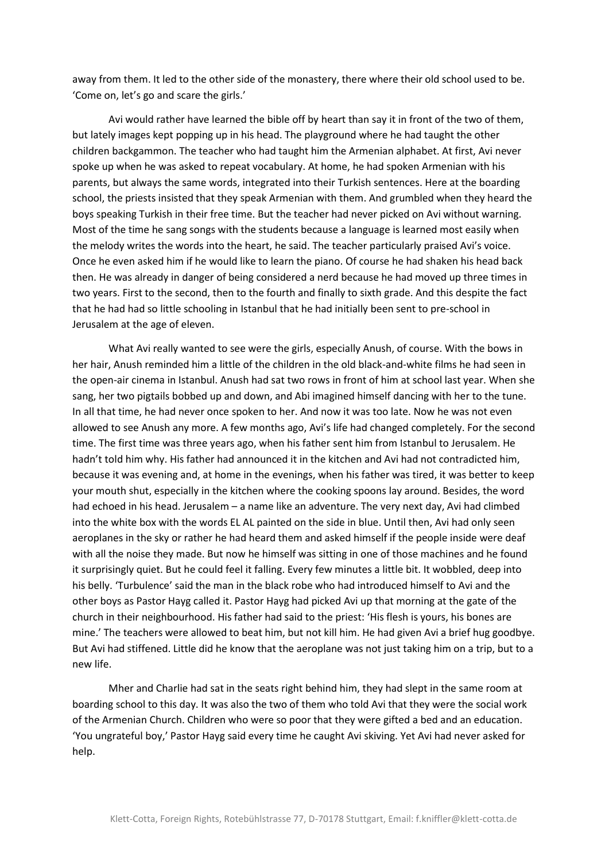away from them. It led to the other side of the monastery, there where their old school used to be. 'Come on, let's go and scare the girls.'

Avi would rather have learned the bible off by heart than say it in front of the two of them, but lately images kept popping up in his head. The playground where he had taught the other children backgammon. The teacher who had taught him the Armenian alphabet. At first, Avi never spoke up when he was asked to repeat vocabulary. At home, he had spoken Armenian with his parents, but always the same words, integrated into their Turkish sentences. Here at the boarding school, the priests insisted that they speak Armenian with them. And grumbled when they heard the boys speaking Turkish in their free time. But the teacher had never picked on Avi without warning. Most of the time he sang songs with the students because a language is learned most easily when the melody writes the words into the heart, he said. The teacher particularly praised Avi's voice. Once he even asked him if he would like to learn the piano. Of course he had shaken his head back then. He was already in danger of being considered a nerd because he had moved up three times in two years. First to the second, then to the fourth and finally to sixth grade. And this despite the fact that he had had so little schooling in Istanbul that he had initially been sent to pre-school in Jerusalem at the age of eleven.

What Avi really wanted to see were the girls, especially Anush, of course. With the bows in her hair, Anush reminded him a little of the children in the old black-and-white films he had seen in the open-air cinema in Istanbul. Anush had sat two rows in front of him at school last year. When she sang, her two pigtails bobbed up and down, and Abi imagined himself dancing with her to the tune. In all that time, he had never once spoken to her. And now it was too late. Now he was not even allowed to see Anush any more. A few months ago, Avi's life had changed completely. For the second time. The first time was three years ago, when his father sent him from Istanbul to Jerusalem. He hadn't told him why. His father had announced it in the kitchen and Avi had not contradicted him, because it was evening and, at home in the evenings, when his father was tired, it was better to keep your mouth shut, especially in the kitchen where the cooking spoons lay around. Besides, the word had echoed in his head. Jerusalem – a name like an adventure. The very next day, Avi had climbed into the white box with the words EL AL painted on the side in blue. Until then, Avi had only seen aeroplanes in the sky or rather he had heard them and asked himself if the people inside were deaf with all the noise they made. But now he himself was sitting in one of those machines and he found it surprisingly quiet. But he could feel it falling. Every few minutes a little bit. It wobbled, deep into his belly. 'Turbulence' said the man in the black robe who had introduced himself to Avi and the other boys as Pastor Hayg called it. Pastor Hayg had picked Avi up that morning at the gate of the church in their neighbourhood. His father had said to the priest: 'His flesh is yours, his bones are mine.' The teachers were allowed to beat him, but not kill him. He had given Avi a brief hug goodbye. But Avi had stiffened. Little did he know that the aeroplane was not just taking him on a trip, but to a new life.

Mher and Charlie had sat in the seats right behind him, they had slept in the same room at boarding school to this day. It was also the two of them who told Avi that they were the social work of the Armenian Church. Children who were so poor that they were gifted a bed and an education. 'You ungrateful boy,' Pastor Hayg said every time he caught Avi skiving. Yet Avi had never asked for help.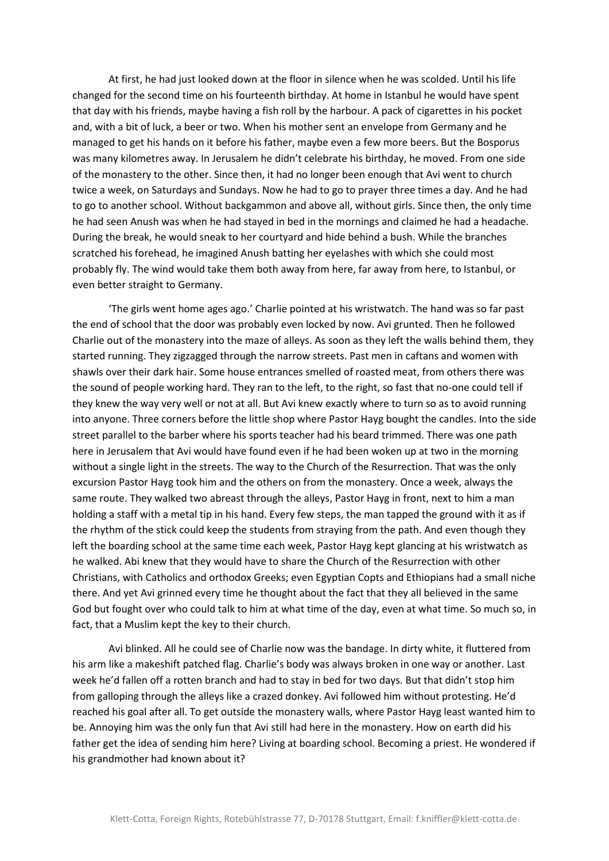At first, he had just looked down at the floor in silence when he was scolded. Until his life changed for the second time on his fourteenth birthday. At home in Istanbul he would have spent that day with his friends, maybe having a fish roll by the harbour. A pack of cigarettes in his pocket and, with a bit of luck, a beer or two. When his mother sent an envelope from Germany and he managed to get his hands on it before his father, maybe even a few more beers. But the Bosporus was many kilometres away. In Jerusalem he didn't celebrate his birthday, he moved. From one side of the monastery to the other. Since then, it had no longer been enough that Avi went to church twice a week, on Saturdays and Sundays. Now he had to go to prayer three times a day. And he had to go to another school. Without backgammon and above all, without girls. Since then, the only time he had seen Anush was when he had stayed in bed in the mornings and claimed he had a headache. During the break, he would sneak to her courtyard and hide behind a bush. While the branches scratched his forehead, he imagined Anush batting her eyelashes with which she could most probably fly. The wind would take them both away from here, far away from here, to Istanbul, or even better straight to Germany.

'The girls went home ages ago.' Charlie pointed at his wristwatch. The hand was so far past the end of school that the door was probably even locked by now. Avi grunted. Then he followed Charlie out of the monastery into the maze of alleys. As soon as they left the walls behind them, they started running. They zigzagged through the narrow streets. Past men in caftans and women with shawls over their dark hair. Some house entrances smelled of roasted meat, from others there was the sound of people working hard. They ran to the left, to the right, so fast that no-one could tell if they knew the way very well or not at all. But Avi knew exactly where to turn so as to avoid running into anyone. Three corners before the little shop where Pastor Hayg bought the candles. Into the side street parallel to the barber where his sports teacher had his beard trimmed. There was one path here in Jerusalem that Avi would have found even if he had been woken up at two in the morning without a single light in the streets. The way to the Church of the Resurrection. That was the only excursion Pastor Hayg took him and the others on from the monastery. Once a week, always the same route. They walked two abreast through the alleys, Pastor Hayg in front, next to him a man holding a staff with a metal tip in his hand. Every few steps, the man tapped the ground with it as if the rhythm of the stick could keep the students from straying from the path. And even though they left the boarding school at the same time each week, Pastor Hayg kept glancing at his wristwatch as he walked. Abi knew that they would have to share the Church of the Resurrection with other Christians, with Catholics and orthodox Greeks; even Egyptian Copts and Ethiopians had a small niche there. And yet Avi grinned every time he thought about the fact that they all believed in the same God but fought over who could talk to him at what time of the day, even at what time. So much so, in fact, that a Muslim kept the key to their church.

Avi blinked. All he could see of Charlie now was the bandage. In dirty white, it fluttered from his arm like a makeshift patched flag. Charlie's body was always broken in one way or another. Last week he'd fallen off a rotten branch and had to stay in bed for two days. But that didn't stop him from galloping through the alleys like a crazed donkey. Avi followed him without protesting. He'd reached his goal after all. To get outside the monastery walls, where Pastor Hayg least wanted him to be. Annoying him was the only fun that Avi still had here in the monastery. How on earth did his father get the idea of sending him here? Living at boarding school. Becoming a priest. He wondered if his grandmother had known about it?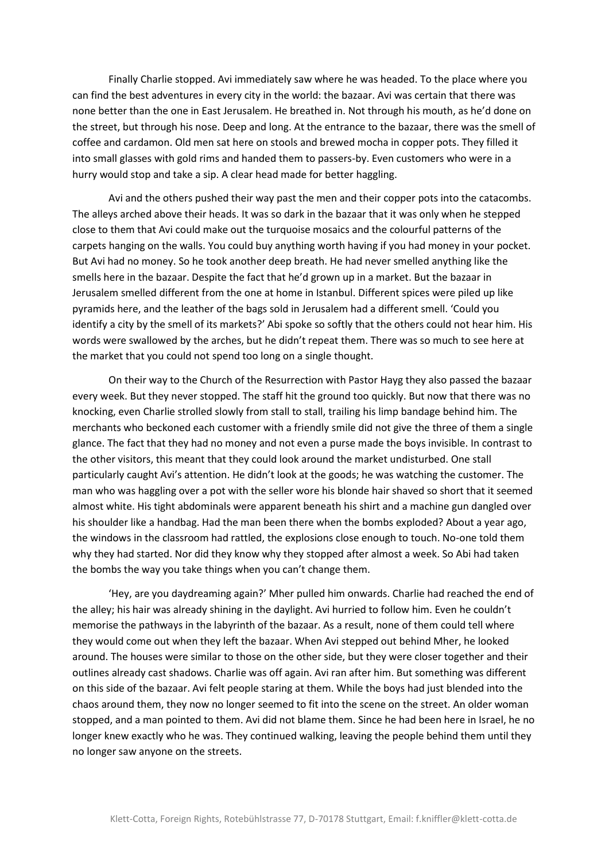Finally Charlie stopped. Avi immediately saw where he was headed. To the place where you can find the best adventures in every city in the world: the bazaar. Avi was certain that there was none better than the one in East Jerusalem. He breathed in. Not through his mouth, as he'd done on the street, but through his nose. Deep and long. At the entrance to the bazaar, there was the smell of coffee and cardamon. Old men sat here on stools and brewed mocha in copper pots. They filled it into small glasses with gold rims and handed them to passers-by. Even customers who were in a hurry would stop and take a sip. A clear head made for better haggling.

Avi and the others pushed their way past the men and their copper pots into the catacombs. The alleys arched above their heads. It was so dark in the bazaar that it was only when he stepped close to them that Avi could make out the turquoise mosaics and the colourful patterns of the carpets hanging on the walls. You could buy anything worth having if you had money in your pocket. But Avi had no money. So he took another deep breath. He had never smelled anything like the smells here in the bazaar. Despite the fact that he'd grown up in a market. But the bazaar in Jerusalem smelled different from the one at home in Istanbul. Different spices were piled up like pyramids here, and the leather of the bags sold in Jerusalem had a different smell. 'Could you identify a city by the smell of its markets?' Abi spoke so softly that the others could not hear him. His words were swallowed by the arches, but he didn't repeat them. There was so much to see here at the market that you could not spend too long on a single thought.

On their way to the Church of the Resurrection with Pastor Hayg they also passed the bazaar every week. But they never stopped. The staff hit the ground too quickly. But now that there was no knocking, even Charlie strolled slowly from stall to stall, trailing his limp bandage behind him. The merchants who beckoned each customer with a friendly smile did not give the three of them a single glance. The fact that they had no money and not even a purse made the boys invisible. In contrast to the other visitors, this meant that they could look around the market undisturbed. One stall particularly caught Avi's attention. He didn't look at the goods; he was watching the customer. The man who was haggling over a pot with the seller wore his blonde hair shaved so short that it seemed almost white. His tight abdominals were apparent beneath his shirt and a machine gun dangled over his shoulder like a handbag. Had the man been there when the bombs exploded? About a year ago, the windows in the classroom had rattled, the explosions close enough to touch. No-one told them why they had started. Nor did they know why they stopped after almost a week. So Abi had taken the bombs the way you take things when you can't change them.

'Hey, are you daydreaming again?' Mher pulled him onwards. Charlie had reached the end of the alley; his hair was already shining in the daylight. Avi hurried to follow him. Even he couldn't memorise the pathways in the labyrinth of the bazaar. As a result, none of them could tell where they would come out when they left the bazaar. When Avi stepped out behind Mher, he looked around. The houses were similar to those on the other side, but they were closer together and their outlines already cast shadows. Charlie was off again. Avi ran after him. But something was different on this side of the bazaar. Avi felt people staring at them. While the boys had just blended into the chaos around them, they now no longer seemed to fit into the scene on the street. An older woman stopped, and a man pointed to them. Avi did not blame them. Since he had been here in Israel, he no longer knew exactly who he was. They continued walking, leaving the people behind them until they no longer saw anyone on the streets.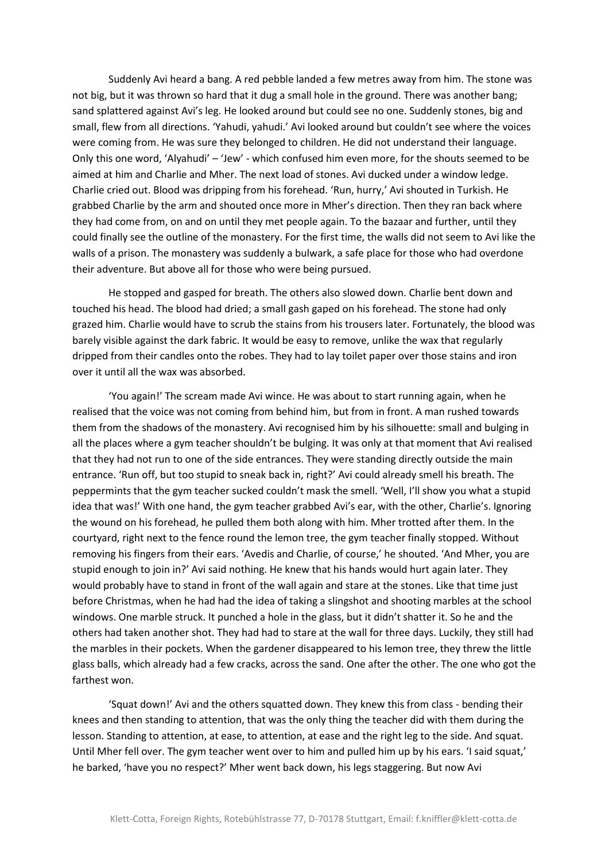Suddenly Avi heard a bang. A red pebble landed a few metres away from him. The stone was not big, but it was thrown so hard that it dug a small hole in the ground. There was another bang; sand splattered against Avi's leg. He looked around but could see no one. Suddenly stones, big and small, flew from all directions. 'Yahudi, yahudi.' Avi looked around but couldn't see where the voices were coming from. He was sure they belonged to children. He did not understand their language. Only this one word, 'Alyahudi' – 'Jew' - which confused him even more, for the shouts seemed to be aimed at him and Charlie and Mher. The next load of stones. Avi ducked under a window ledge. Charlie cried out. Blood was dripping from his forehead. 'Run, hurry,' Avi shouted in Turkish. He grabbed Charlie by the arm and shouted once more in Mher's direction. Then they ran back where they had come from, on and on until they met people again. To the bazaar and further, until they could finally see the outline of the monastery. For the first time, the walls did not seem to Avi like the walls of a prison. The monastery was suddenly a bulwark, a safe place for those who had overdone their adventure. But above all for those who were being pursued.

He stopped and gasped for breath. The others also slowed down. Charlie bent down and touched his head. The blood had dried; a small gash gaped on his forehead. The stone had only grazed him. Charlie would have to scrub the stains from his trousers later. Fortunately, the blood was barely visible against the dark fabric. It would be easy to remove, unlike the wax that regularly dripped from their candles onto the robes. They had to lay toilet paper over those stains and iron over it until all the wax was absorbed.

'You again!' The scream made Avi wince. He was about to start running again, when he realised that the voice was not coming from behind him, but from in front. A man rushed towards them from the shadows of the monastery. Avi recognised him by his silhouette: small and bulging in all the places where a gym teacher shouldn't be bulging. It was only at that moment that Avi realised that they had not run to one of the side entrances. They were standing directly outside the main entrance. 'Run off, but too stupid to sneak back in, right?' Avi could already smell his breath. The peppermints that the gym teacher sucked couldn't mask the smell. 'Well, I'll show you what a stupid idea that was!' With one hand, the gym teacher grabbed Avi's ear, with the other, Charlie's. Ignoring the wound on his forehead, he pulled them both along with him. Mher trotted after them. In the courtyard, right next to the fence round the lemon tree, the gym teacher finally stopped. Without removing his fingers from their ears. 'Avedis and Charlie, of course,' he shouted. 'And Mher, you are stupid enough to join in?' Avi said nothing. He knew that his hands would hurt again later. They would probably have to stand in front of the wall again and stare at the stones. Like that time just before Christmas, when he had had the idea of taking a slingshot and shooting marbles at the school windows. One marble struck. It punched a hole in the glass, but it didn't shatter it. So he and the others had taken another shot. They had had to stare at the wall for three days. Luckily, they still had the marbles in their pockets. When the gardener disappeared to his lemon tree, they threw the little glass balls, which already had a few cracks, across the sand. One after the other. The one who got the farthest won.

'Squat down!' Avi and the others squatted down. They knew this from class - bending their knees and then standing to attention, that was the only thing the teacher did with them during the lesson. Standing to attention, at ease, to attention, at ease and the right leg to the side. And squat. Until Mher fell over. The gym teacher went over to him and pulled him up by his ears. 'I said squat,' he barked, 'have you no respect?' Mher went back down, his legs staggering. But now Avi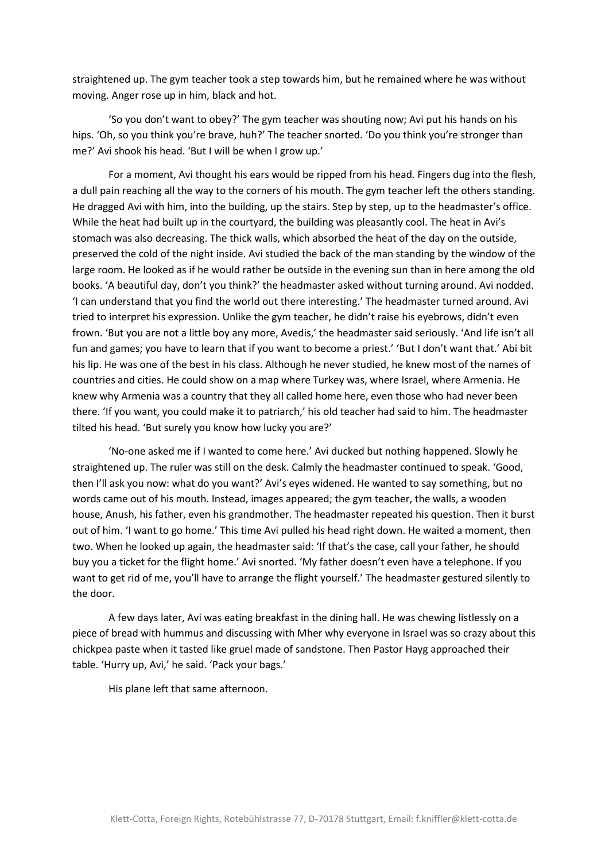straightened up. The gym teacher took a step towards him, but he remained where he was without moving. Anger rose up in him, black and hot.

'So you don't want to obey?' The gym teacher was shouting now; Avi put his hands on his hips. 'Oh, so you think you're brave, huh?' The teacher snorted. 'Do you think you're stronger than me?' Avi shook his head. 'But I will be when I grow up.'

For a moment, Avi thought his ears would be ripped from his head. Fingers dug into the flesh, a dull pain reaching all the way to the corners of his mouth. The gym teacher left the others standing. He dragged Avi with him, into the building, up the stairs. Step by step, up to the headmaster's office. While the heat had built up in the courtyard, the building was pleasantly cool. The heat in Avi's stomach was also decreasing. The thick walls, which absorbed the heat of the day on the outside, preserved the cold of the night inside. Avi studied the back of the man standing by the window of the large room. He looked as if he would rather be outside in the evening sun than in here among the old books. 'A beautiful day, don't you think?' the headmaster asked without turning around. Avi nodded. 'I can understand that you find the world out there interesting.' The headmaster turned around. Avi tried to interpret his expression. Unlike the gym teacher, he didn't raise his eyebrows, didn't even frown. 'But you are not a little boy any more, Avedis,' the headmaster said seriously. 'And life isn't all fun and games; you have to learn that if you want to become a priest.' 'But I don't want that.' Abi bit his lip. He was one of the best in his class. Although he never studied, he knew most of the names of countries and cities. He could show on a map where Turkey was, where Israel, where Armenia. He knew why Armenia was a country that they all called home here, even those who had never been there. 'If you want, you could make it to patriarch,' his old teacher had said to him. The headmaster tilted his head. 'But surely you know how lucky you are?'

'No-one asked me if I wanted to come here.' Avi ducked but nothing happened. Slowly he straightened up. The ruler was still on the desk. Calmly the headmaster continued to speak. 'Good, then I'll ask you now: what do you want?' Avi's eyes widened. He wanted to say something, but no words came out of his mouth. Instead, images appeared; the gym teacher, the walls, a wooden house, Anush, his father, even his grandmother. The headmaster repeated his question. Then it burst out of him. 'I want to go home.' This time Avi pulled his head right down. He waited a moment, then two. When he looked up again, the headmaster said: 'If that's the case, call your father, he should buy you a ticket for the flight home.' Avi snorted. 'My father doesn't even have a telephone. If you want to get rid of me, you'll have to arrange the flight yourself.' The headmaster gestured silently to the door.

A few days later, Avi was eating breakfast in the dining hall. He was chewing listlessly on a piece of bread with hummus and discussing with Mher why everyone in Israel was so crazy about this chickpea paste when it tasted like gruel made of sandstone. Then Pastor Hayg approached their table. 'Hurry up, Avi,' he said. 'Pack your bags.'

His plane left that same afternoon.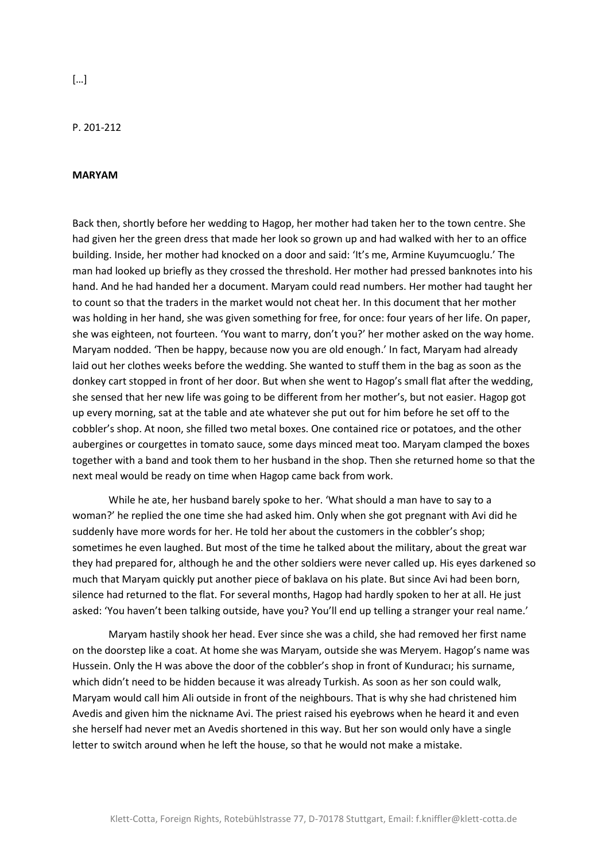P. 201-212

## **MARYAM**

Back then, shortly before her wedding to Hagop, her mother had taken her to the town centre. She had given her the green dress that made her look so grown up and had walked with her to an office building. Inside, her mother had knocked on a door and said: 'It's me, Armine Kuyumcuoglu.' The man had looked up briefly as they crossed the threshold. Her mother had pressed banknotes into his hand. And he had handed her a document. Maryam could read numbers. Her mother had taught her to count so that the traders in the market would not cheat her. In this document that her mother was holding in her hand, she was given something for free, for once: four years of her life. On paper, she was eighteen, not fourteen. 'You want to marry, don't you?' her mother asked on the way home. Maryam nodded. 'Then be happy, because now you are old enough.' In fact, Maryam had already laid out her clothes weeks before the wedding. She wanted to stuff them in the bag as soon as the donkey cart stopped in front of her door. But when she went to Hagop's small flat after the wedding, she sensed that her new life was going to be different from her mother's, but not easier. Hagop got up every morning, sat at the table and ate whatever she put out for him before he set off to the cobbler's shop. At noon, she filled two metal boxes. One contained rice or potatoes, and the other aubergines or courgettes in tomato sauce, some days minced meat too. Maryam clamped the boxes together with a band and took them to her husband in the shop. Then she returned home so that the next meal would be ready on time when Hagop came back from work.

While he ate, her husband barely spoke to her. 'What should a man have to say to a woman?' he replied the one time she had asked him. Only when she got pregnant with Avi did he suddenly have more words for her. He told her about the customers in the cobbler's shop; sometimes he even laughed. But most of the time he talked about the military, about the great war they had prepared for, although he and the other soldiers were never called up. His eyes darkened so much that Maryam quickly put another piece of baklava on his plate. But since Avi had been born, silence had returned to the flat. For several months, Hagop had hardly spoken to her at all. He just asked: 'You haven't been talking outside, have you? You'll end up telling a stranger your real name.'

Maryam hastily shook her head. Ever since she was a child, she had removed her first name on the doorstep like a coat. At home she was Maryam, outside she was Meryem. Hagop's name was Hussein. Only the H was above the door of the cobbler's shop in front of Kunduracı; his surname, which didn't need to be hidden because it was already Turkish. As soon as her son could walk, Maryam would call him Ali outside in front of the neighbours. That is why she had christened him Avedis and given him the nickname Avi. The priest raised his eyebrows when he heard it and even she herself had never met an Avedis shortened in this way. But her son would only have a single letter to switch around when he left the house, so that he would not make a mistake.

[…]